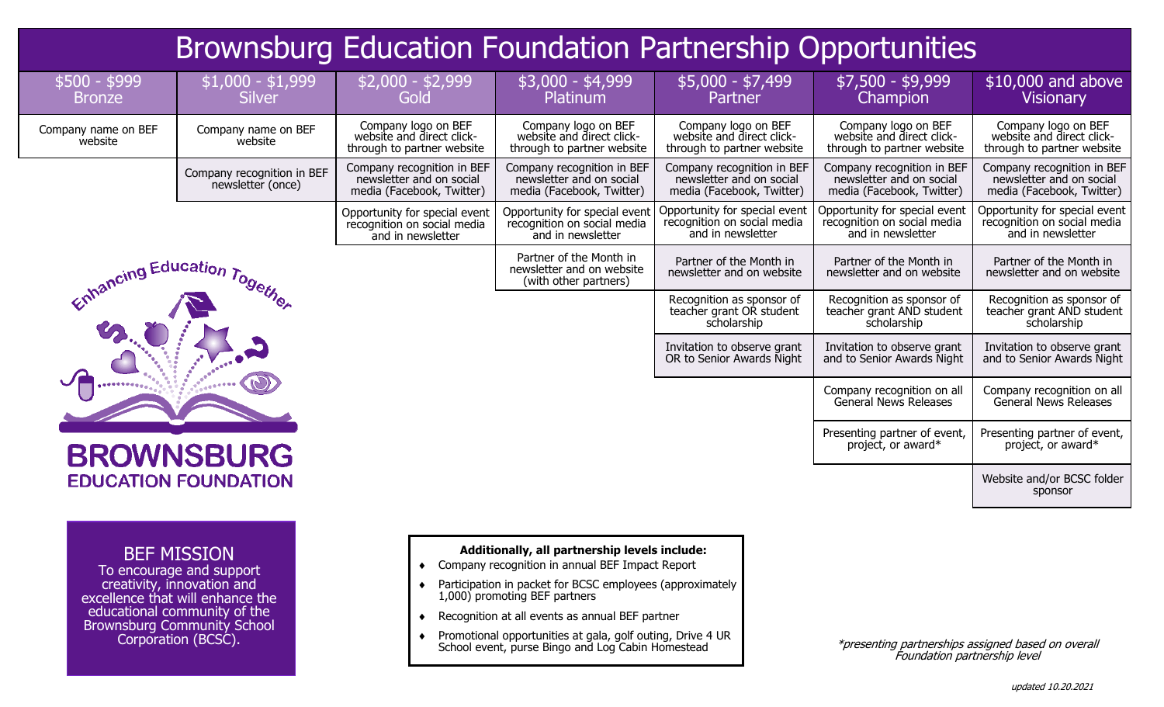| <b>Brownsburg Education Foundation Partnership Opportunities</b> |                                                                                                                                                                                                               |                                                                                     |                                                                                                                                                                                                                                                                                                                                                                      |                                                                                     |                                                                                     |                                                                                     |
|------------------------------------------------------------------|---------------------------------------------------------------------------------------------------------------------------------------------------------------------------------------------------------------|-------------------------------------------------------------------------------------|----------------------------------------------------------------------------------------------------------------------------------------------------------------------------------------------------------------------------------------------------------------------------------------------------------------------------------------------------------------------|-------------------------------------------------------------------------------------|-------------------------------------------------------------------------------------|-------------------------------------------------------------------------------------|
| $$500 - $999$<br><b>Bronze</b>                                   | $$1,000 - $1,999$<br><b>Silver</b>                                                                                                                                                                            | $$2,000 - $2,999$<br>Gold                                                           | $$3,000 - $4,999$<br>Platinum                                                                                                                                                                                                                                                                                                                                        | $$5,000 - $7,499$<br><b>Partner</b>                                                 | \$7,500 - \$9,999<br>Champion                                                       | \$10,000 and above<br><b>Visionary</b>                                              |
| Company name on BEF<br>website                                   | Company name on BEF<br>website                                                                                                                                                                                | Company logo on BEF<br>website and direct click-<br>through to partner website      | Company logo on BEF<br>website and direct click-<br>through to partner website                                                                                                                                                                                                                                                                                       | Company logo on BEF<br>website and direct click-<br>through to partner website      | Company logo on BEF<br>website and direct click-<br>through to partner website      | Company logo on BEF<br>website and direct click-<br>through to partner website      |
|                                                                  | Company recognition in BEF<br>newsletter (once)                                                                                                                                                               | Company recognition in BEF<br>newsletter and on social<br>media (Facebook, Twitter) | Company recognition in BEF<br>newsletter and on social<br>media (Facebook, Twitter)                                                                                                                                                                                                                                                                                  | Company recognition in BEF<br>newsletter and on social<br>media (Facebook, Twitter) | Company recognition in BEF<br>newsletter and on social<br>media (Facebook, Twitter) | Company recognition in BEF<br>newsletter and on social<br>media (Facebook, Twitter) |
|                                                                  |                                                                                                                                                                                                               | Opportunity for special event<br>recognition on social media<br>and in newsletter   | Opportunity for special event<br>recognition on social media<br>and in newsletter                                                                                                                                                                                                                                                                                    | Opportunity for special event<br>recognition on social media<br>and in newsletter   | Opportunity for special event<br>recognition on social media<br>and in newsletter   | Opportunity for special event<br>recognition on social media<br>and in newsletter   |
| Education Together                                               |                                                                                                                                                                                                               |                                                                                     | Partner of the Month in<br>newsletter and on website<br>(with other partners)                                                                                                                                                                                                                                                                                        | Partner of the Month in<br>newsletter and on website                                | Partner of the Month in<br>newsletter and on website                                | Partner of the Month in<br>newsletter and on website                                |
|                                                                  |                                                                                                                                                                                                               |                                                                                     |                                                                                                                                                                                                                                                                                                                                                                      | Recognition as sponsor of<br>teacher grant OR student<br>scholarship                | Recognition as sponsor of<br>teacher grant AND student<br>scholarship               | Recognition as sponsor of<br>teacher grant AND student<br>scholarship               |
|                                                                  |                                                                                                                                                                                                               |                                                                                     |                                                                                                                                                                                                                                                                                                                                                                      | Invitation to observe grant<br>OR to Senior Awards Night                            | Invitation to observe grant<br>and to Senior Awards Night                           | Invitation to observe grant<br>and to Senior Awards Night                           |
|                                                                  |                                                                                                                                                                                                               |                                                                                     |                                                                                                                                                                                                                                                                                                                                                                      |                                                                                     | Company recognition on all<br>General News Releases                                 | Company recognition on all<br>General News Releases                                 |
|                                                                  | <b>BROWNSBURG</b>                                                                                                                                                                                             |                                                                                     |                                                                                                                                                                                                                                                                                                                                                                      |                                                                                     | Presenting partner of event,<br>project, or award*                                  | Presenting partner of event,<br>project, or award*                                  |
|                                                                  | <b>EDUCATION FOUNDATION</b>                                                                                                                                                                                   |                                                                                     |                                                                                                                                                                                                                                                                                                                                                                      |                                                                                     |                                                                                     | Website and/or BCSC folder<br>sponsor                                               |
|                                                                  | <b>BEF MISSION</b><br>To encourage and support<br>creativity, innovation and<br>excellence that will enhance the<br>educational community of the<br><b>Brownsburg Community School</b><br>Corporation (BCSC). | $\bullet$                                                                           | Additionally, all partnership levels include:<br>Company recognition in annual BEF Impact Report<br>Participation in packet for BCSC employees (approximately<br>1,000) promoting BEF partners<br>Recognition at all events as annual BEF partner<br>Promotional opportunities at gala, golf outing, Drive 4 UR<br>School event, purse Bingo and Log Cabin Homestead |                                                                                     | *presenting partnerships assigned based on overall<br>Foundation partnership lovel  |                                                                                     |

## Foundation partnership level